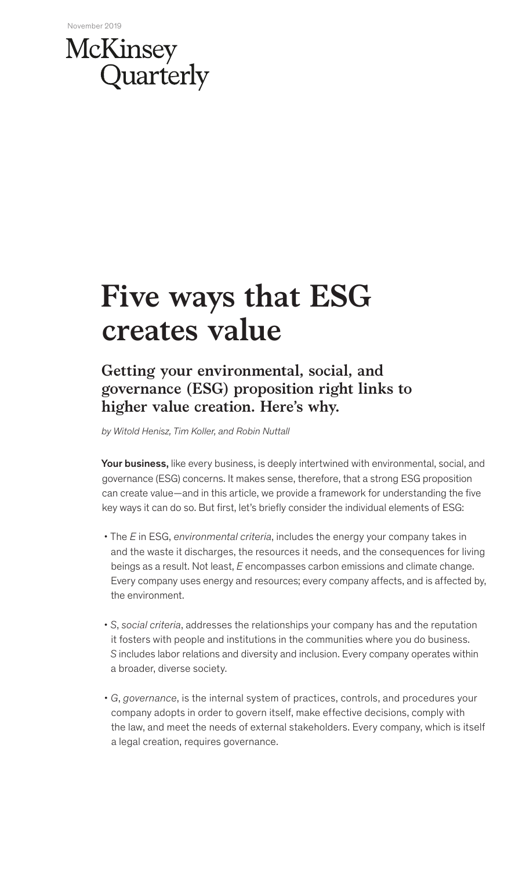## McKinsey Quarterly

# **Five ways that ESG creates value**

## **Getting your environmental, social, and governance (ESG) proposition right links to higher value creation. Here's why.**

*by Witold Henisz, Tim Koller, and Robin Nuttall*

Your business, like every business, is deeply intertwined with environmental, social, and governance (ESG) concerns. It makes sense, therefore, that a strong ESG proposition can create value—and in this article, we provide a framework for understanding the five key ways it can do so. But first, let's briefly consider the individual elements of ESG:

- The *E* in ESG, *environmental criteria*, includes the energy your company takes in and the waste it discharges, the resources it needs, and the consequences for living beings as a result. Not least, *E* encompasses carbon emissions and climate change. Every company uses energy and resources; every company affects, and is affected by, the environment.
- *S*, *social criteria*, addresses the relationships your company has and the reputation it fosters with people and institutions in the communities where you do business. *S* includes labor relations and diversity and inclusion. Every company operates within a broader, diverse society.
- *G*, *governance*, is the internal system of practices, controls, and procedures your company adopts in order to govern itself, make effective decisions, comply with the law, and meet the needs of external stakeholders. Every company, which is itself a legal creation, requires governance.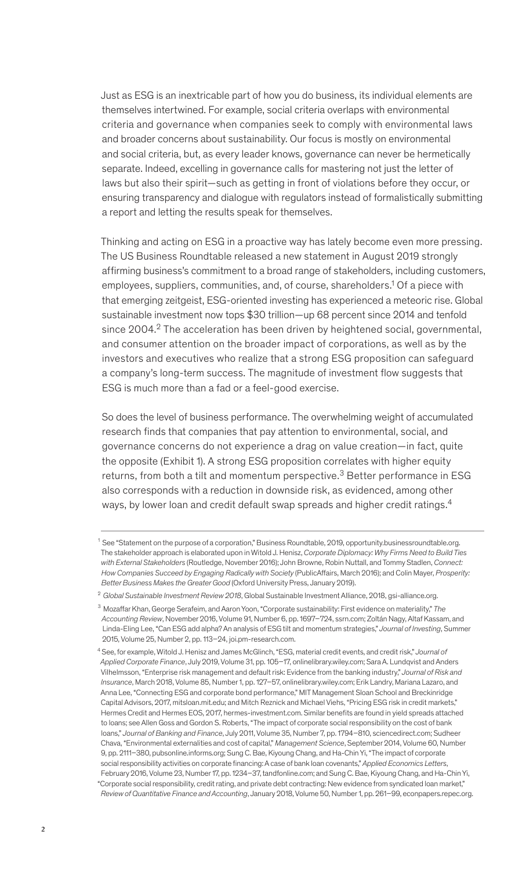Just as ESG is an inextricable part of how you do business, its individual elements are themselves intertwined. For example, social criteria overlaps with environmental criteria and governance when companies seek to comply with environmental laws and broader concerns about sustainability. Our focus is mostly on environmental and social criteria, but, as every leader knows, governance can never be hermetically separate. Indeed, excelling in governance calls for mastering not just the letter of laws but also their spirit—such as getting in front of violations before they occur, or ensuring transparency and dialogue with regulators instead of formalistically submitting a report and letting the results speak for themselves.

Thinking and acting on ESG in a proactive way has lately become even more pressing. The US Business Roundtable released a new statement in August 2019 strongly affirming business's commitment to a broad range of stakeholders, including customers, employees, suppliers, communities, and, of course, shareholders.<sup>1</sup> Of a piece with that emerging zeitgeist, ESG-oriented investing has experienced a meteoric rise. Global sustainable investment now tops \$30 trillion—up 68 percent since 2014 and tenfold since  $2004<sup>2</sup>$  The acceleration has been driven by heightened social, governmental, and consumer attention on the broader impact of corporations, as well as by the investors and executives who realize that a strong ESG proposition can safeguard a company's long-term success. The magnitude of investment flow suggests that ESG is much more than a fad or a feel-good exercise.

So does the level of business performance. The overwhelming weight of accumulated research finds that companies that pay attention to environmental, social, and governance concerns do not experience a drag on value creation—in fact, quite the opposite (Exhibit 1). A strong ESG proposition correlates with higher equity returns, from both a tilt and momentum perspective.<sup>3</sup> Better performance in ESG also corresponds with a reduction in downside risk, as evidenced, among other ways, by lower loan and credit default swap spreads and higher credit ratings.<sup>4</sup>

 <sup>1</sup> See "Statement on the purpose of a corporation," Business Roundtable, 2019, opportunity.businessroundtable.org. The stakeholder approach is elaborated upon in Witold J. Henisz, *Corporate Diplomacy: Why Firms Need to Build Ties with External Stakeholders* (Routledge, November 2016); John Browne, Robin Nuttall, and Tommy Stadlen, *Connect: How Companies Succeed by Engaging Radically with Society* (PublicAffairs, March 2016); and Colin Mayer, *Prosperity: Better Business Makes the Greater Good* (Oxford University Press, January 2019).

<sup>2</sup>*Global Sustainable Investment Review 2018*, Global Sustainable Investment Alliance, 2018, gsi-alliance.org.

<sup>3</sup> Mozaffar Khan, George Serafeim, and Aaron Yoon, "Corporate sustainability: First evidence on materiality," *The Accounting Review*, November 2016, Volume 91, Number 6, pp. 1697–724, ssrn.com; Zoltán Nagy, Altaf Kassam, and Linda-Eling Lee, "Can ESG add alpha? An analysis of ESG tilt and momentum strategies," *Journal of Investing*, Summer 2015, Volume 25, Number 2, pp. 113–24, joi.pm-research.com.

<sup>4</sup> See, for example, Witold J. Henisz and James McGlinch, "ESG, material credit events, and credit risk," *Journal of Applied Corporate Finance*, July 2019, Volume 31, pp. 105–17, onlinelibrary.wiley.com; Sara A. Lundqvist and Anders Vilhelmsson, "Enterprise risk management and default risk: Evidence from the banking industry," *Journal of Risk and Insurance*, March 2018, Volume 85, Number 1, pp. 127–57, onlinelibrary.wiley.com; Erik Landry, Mariana Lazaro, and Anna Lee, "Connecting ESG and corporate bond performance," MIT Management Sloan School and Breckinridge Capital Advisors, 2017, mitsloan.mit.edu; and Mitch Reznick and Michael Viehs, "Pricing ESG risk in credit markets," Hermes Credit and Hermes EOS, 2017, hermes-investment.com. Similar benefits are found in yield spreads attached to loans; see Allen Goss and Gordon S. Roberts, "The impact of corporate social responsibility on the cost of bank loans," *Journal of Banking and Finance*, July 2011, Volume 35, Number 7, pp. 1794–810, sciencedirect.com; Sudheer Chava, "Environmental externalities and cost of capital," *Management Science*, September 2014, Volume 60, Number 9, pp. 2111–380, pubsonline.informs.org; Sung C. Bae, Kiyoung Chang, and Ha-Chin Yi, "The impact of corporate social responsibility activities on corporate financing: A case of bank loan covenants," *Applied Economics Letters*, February 2016, Volume 23, Number 17, pp. 1234–37, tandfonline.com; and Sung C. Bae, Kiyoung Chang, and Ha-Chin Yi, "Corporate social responsibility, credit rating, and private debt contracting: New evidence from syndicated loan market," *Review of Quantitative Finance and Accounting*, January 2018, Volume 50, Number 1, pp. 261–99, econpapers.repec.org.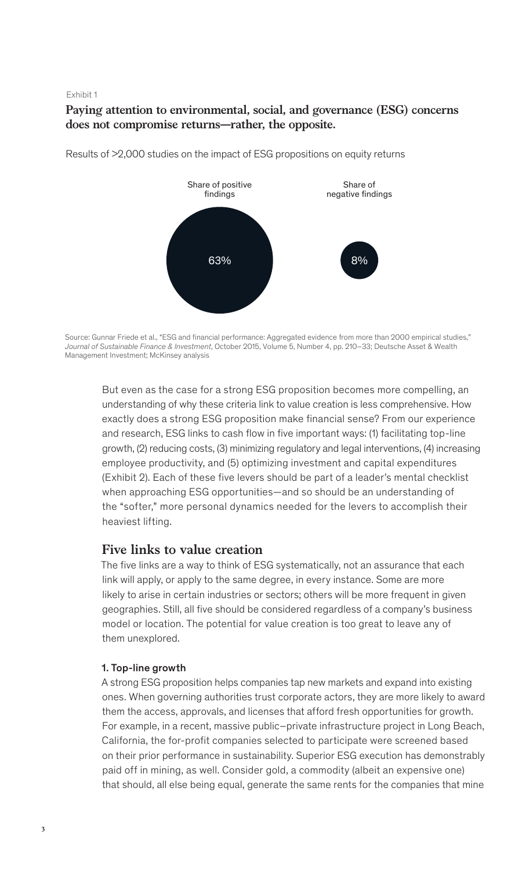#### Exhibit 1

## **Paying attention to environmental, social, and governance (ESG) concerns does not compromise returns—rather, the opposite.**



Results of >2,000 studies on the impact of ESG propositions on equity returns

But even as the case for a strong ESG proposition becomes more compelling, an understanding of why these criteria link to value creation is less comprehensive. How exactly does a strong ESG proposition make financial sense? From our experience and research, ESG links to cash flow in five important ways: (1) facilitating top-line growth, (2) reducing costs, (3) minimizing regulatory and legal interventions, (4) increasing employee productivity, and (5) optimizing investment and capital expenditures (Exhibit 2). Each of these five levers should be part of a leader's mental checklist when approaching ESG opportunities—and so should be an understanding of the "softer," more personal dynamics needed for the levers to accomplish their heaviest lifting.

### **Five links to value creation**

The five links are a way to think of ESG systematically, not an assurance that each link will apply, or apply to the same degree, in every instance. Some are more likely to arise in certain industries or sectors; others will be more frequent in given geographies. Still, all five should be considered regardless of a company's business model or location. The potential for value creation is too great to leave any of them unexplored.

#### 1. Top-line growth

A strong ESG proposition helps companies tap new markets and expand into existing ones. When governing authorities trust corporate actors, they are more likely to award them the access, approvals, and licenses that afford fresh opportunities for growth. For example, in a recent, massive public–private infrastructure project in Long Beach, California, the for-profit companies selected to participate were screened based on their prior performance in sustainability. Superior ESG execution has demonstrably paid off in mining, as well. Consider gold, a commodity (albeit an expensive one) that should, all else being equal, generate the same rents for the companies that mine

Source: Gunnar Friede et al., "ESG and financial performance: Aggregated evidence from more than 2000 empirical studies," *Journal of Sustainable Finance & Investment*, October 2015, Volume 5, Number 4, pp. 210–33; Deutsche Asset & Wealth Management Investment; McKinsey analysis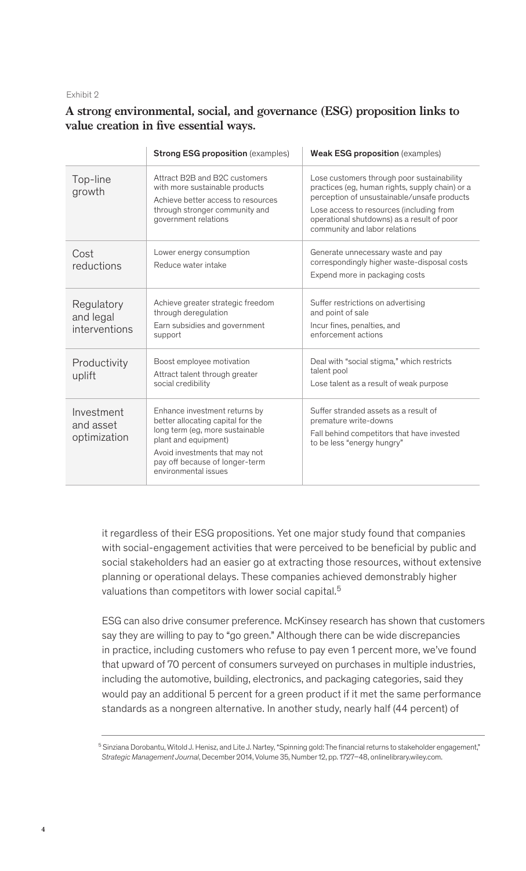#### Exhibit 2

## **A strong environmental, social, and governance (ESG) proposition links to**  value creation in five essential ways.

|                                          | <b>Strong ESG proposition</b> (examples)                                                                                                                                                                                  | <b>Weak ESG proposition</b> (examples)                                                                                                                                                                                                                                  |
|------------------------------------------|---------------------------------------------------------------------------------------------------------------------------------------------------------------------------------------------------------------------------|-------------------------------------------------------------------------------------------------------------------------------------------------------------------------------------------------------------------------------------------------------------------------|
| Top-line<br>growth                       | Attract B2B and B2C customers<br>with more sustainable products<br>Achieve better access to resources<br>through stronger community and<br>government relations                                                           | Lose customers through poor sustainability<br>practices (eg, human rights, supply chain) or a<br>perception of unsustainable/unsafe products<br>Lose access to resources (including from<br>operational shutdowns) as a result of poor<br>community and labor relations |
| Cost<br>reductions                       | Lower energy consumption<br>Reduce water intake                                                                                                                                                                           | Generate unnecessary waste and pay<br>correspondingly higher waste-disposal costs<br>Expend more in packaging costs                                                                                                                                                     |
| Regulatory<br>and legal<br>interventions | Achieve greater strategic freedom<br>through deregulation<br>Earn subsidies and government<br>support                                                                                                                     | Suffer restrictions on advertising<br>and point of sale<br>Incur fines, penalties, and<br>enforcement actions                                                                                                                                                           |
| Productivity<br>uplift                   | Boost employee motivation<br>Attract talent through greater<br>social credibility                                                                                                                                         | Deal with "social stigma," which restricts<br>talent pool<br>Lose talent as a result of weak purpose                                                                                                                                                                    |
| Investment<br>and asset<br>optimization  | Enhance investment returns by<br>better allocating capital for the<br>long term (eg, more sustainable<br>plant and equipment)<br>Avoid investments that may not<br>pay off because of longer-term<br>environmental issues | Suffer stranded assets as a result of<br>premature write-downs<br>Fall behind competitors that have invested<br>to be less "energy hungry"                                                                                                                              |

it regardless of their ESG propositions. Yet one major study found that companies with social-engagement activities that were perceived to be beneficial by public and social stakeholders had an easier go at extracting those resources, without extensive planning or operational delays. These companies achieved demonstrably higher valuations than competitors with lower social capital.<sup>5</sup>

ESG can also drive consumer preference. McKinsey research has shown that customers say they are willing to pay to "go green." Although there can be wide discrepancies in practice, including customers who refuse to pay even 1 percent more, we've found that upward of 70 percent of consumers surveyed on purchases in multiple industries, including the automotive, building, electronics, and packaging categories, said they would pay an additional 5 percent for a green product if it met the same performance standards as a nongreen alternative. In another study, nearly half (44 percent) of

<sup>&</sup>lt;sup>5</sup> Sinziana Dorobantu, Witold J. Henisz, and Lite J. Nartey, "Spinning gold: The financial returns to stakeholder engagement," *Strategic Management Journal*, December 2014, Volume 35, Number 12, pp. 1727–48, onlinelibrary.wiley.com.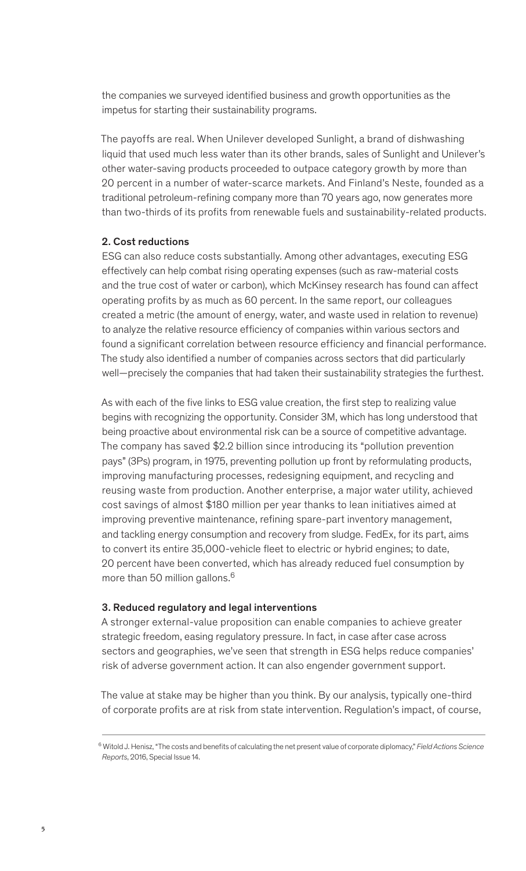the companies we surveyed identified business and growth opportunities as the impetus for starting their sustainability programs.

The payoffs are real. When Unilever developed Sunlight, a brand of dishwashing liquid that used much less water than its other brands, sales of Sunlight and Unilever's other water-saving products proceeded to outpace category growth by more than 20 percent in a number of water-scarce markets. And Finland's Neste, founded as a traditional petroleum-refining company more than 70 years ago, now generates more than two-thirds of its profits from renewable fuels and sustainability-related products.

#### 2. Cost reductions

ESG can also reduce costs substantially. Among other advantages, executing ESG effectively can help combat rising operating expenses (such as raw-material costs and the true cost of water or carbon), which McKinsey research has found can affect operating profits by as much as 60 percent. In the same report, our colleagues created a metric (the amount of energy, water, and waste used in relation to revenue) to analyze the relative resource efficiency of companies within various sectors and found a significant correlation between resource efficiency and financial performance. The study also identified a number of companies across sectors that did particularly well—precisely the companies that had taken their sustainability strategies the furthest.

As with each of the five links to ESG value creation, the first step to realizing value begins with recognizing the opportunity. Consider 3M, which has long understood that being proactive about environmental risk can be a source of competitive advantage. The company has saved \$2.2 billion since introducing its "pollution prevention pays" (3Ps) program, in 1975, preventing pollution up front by reformulating products, improving manufacturing processes, redesigning equipment, and recycling and reusing waste from production. Another enterprise, a major water utility, achieved cost savings of almost \$180 million per year thanks to lean initiatives aimed at improving preventive maintenance, refining spare-part inventory management, and tackling energy consumption and recovery from sludge. FedEx, for its part, aims to convert its entire 35,000-vehicle fleet to electric or hybrid engines; to date, 20 percent have been converted, which has already reduced fuel consumption by more than 50 million gallons.<sup>6</sup>

#### 3. Reduced regulatory and legal interventions

A stronger external-value proposition can enable companies to achieve greater strategic freedom, easing regulatory pressure. In fact, in case after case across sectors and geographies, we've seen that strength in ESG helps reduce companies' risk of adverse government action. It can also engender government support.

The value at stake may be higher than you think. By our analysis, typically one-third of corporate profits are at risk from state intervention. Regulation's impact, of course,

<sup>6</sup> Witold J. Henisz, "The costs and benefits of calculating the net present value of corporate diplomacy," *Field Actions Science Reports*, 2016, Special Issue 14.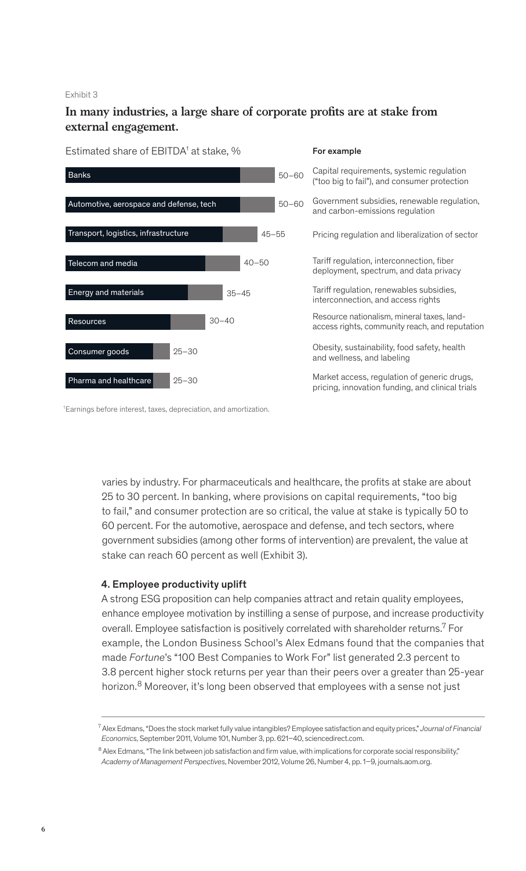#### Exhibit 3

## In many industries, a large share of corporate profits are at stake from **external engagement.**

#### Estimated share of EBITDA<sup>1</sup> at stake, % For example



1 Earnings before interest, taxes, depreciation, and amortization.

varies by industry. For pharmaceuticals and healthcare, the profits at stake are about 25 to 30 percent. In banking, where provisions on capital requirements, "too big to fail," and consumer protection are so critical, the value at stake is typically 50 to 60 percent. For the automotive, aerospace and defense, and tech sectors, where government subsidies (among other forms of intervention) are prevalent, the value at stake can reach 60 percent as well (Exhibit 3).

### 4. Employee productivity uplift

A strong ESG proposition can help companies attract and retain quality employees, enhance employee motivation by instilling a sense of purpose, and increase productivity overall. Employee satisfaction is positively correlated with shareholder returns.<sup>7</sup> For example, the London Business School's Alex Edmans found that the companies that made *Fortune*'s "100 Best Companies to Work For" list generated 2.3 percent to 3.8 percent higher stock returns per year than their peers over a greater than 25-year horizon.<sup>8</sup> Moreover, it's long been observed that employees with a sense not just

<sup>7</sup> Alex Edmans, "Does the stock market fully value intangibles? Employee satisfaction and equity prices," *Journal of Financial Economics*, September 2011, Volume 101, Number 3, pp. 621–40, sciencedirect.com.

<sup>&</sup>lt;sup>8</sup> Alex Edmans, "The link between job satisfaction and firm value, with implications for corporate social responsibility," *Academy of Management Perspectives*, November 2012, Volume 26, Number 4, pp. 1–9, journals.aom.org.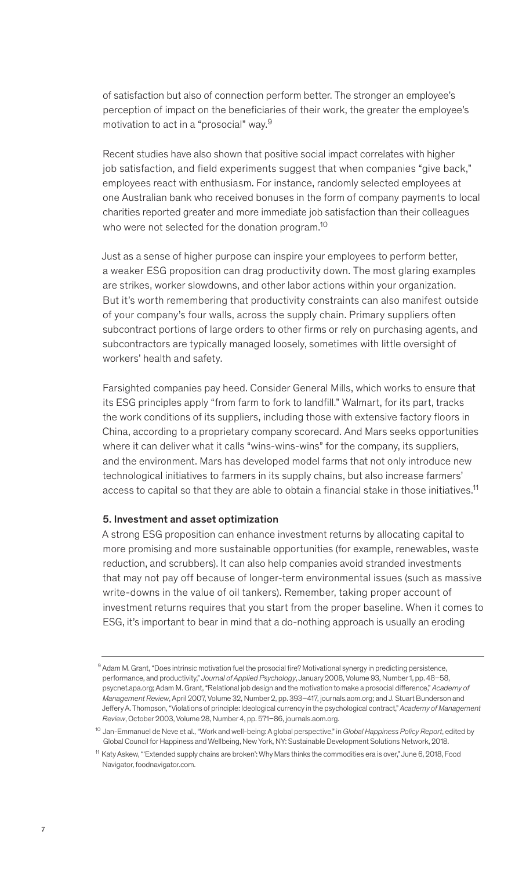of satisfaction but also of connection perform better. The stronger an employee's perception of impact on the beneficiaries of their work, the greater the employee's motivation to act in a "prosocial" way.<sup>9</sup>

Recent studies have also shown that positive social impact correlates with higher job satisfaction, and field experiments suggest that when companies "give back," employees react with enthusiasm. For instance, randomly selected employees at one Australian bank who received bonuses in the form of company payments to local charities reported greater and more immediate job satisfaction than their colleagues who were not selected for the donation program.<sup>10</sup>

Just as a sense of higher purpose can inspire your employees to perform better, a weaker ESG proposition can drag productivity down. The most glaring examples are strikes, worker slowdowns, and other labor actions within your organization. But it's worth remembering that productivity constraints can also manifest outside of your company's four walls, across the supply chain. Primary suppliers often subcontract portions of large orders to other firms or rely on purchasing agents, and subcontractors are typically managed loosely, sometimes with little oversight of workers' health and safety.

Farsighted companies pay heed. Consider General Mills, which works to ensure that its ESG principles apply "from farm to fork to landfill." Walmart, for its part, tracks the work conditions of its suppliers, including those with extensive factory floors in China, according to a proprietary company scorecard. And Mars seeks opportunities where it can deliver what it calls "wins-wins-wins" for the company, its suppliers, and the environment. Mars has developed model farms that not only introduce new technological initiatives to farmers in its supply chains, but also increase farmers' access to capital so that they are able to obtain a financial stake in those initiatives.<sup>11</sup>

### 5. Investment and asset optimization

A strong ESG proposition can enhance investment returns by allocating capital to more promising and more sustainable opportunities (for example, renewables, waste reduction, and scrubbers). It can also help companies avoid stranded investments that may not pay off because of longer-term environmental issues (such as massive write-downs in the value of oil tankers). Remember, taking proper account of investment returns requires that you start from the proper baseline. When it comes to ESG, it's important to bear in mind that a do-nothing approach is usually an eroding

<sup>9</sup> Adam M. Grant, "Does intrinsic motivation fuel the prosocial fire? Motivational synergy in predicting persistence, performance, and productivity," *Journal of Applied Psychology*, January 2008, Volume 93, Number 1, pp. 48–58, psycnet.apa.org; Adam M. Grant, "Relational job design and the motivation to make a prosocial difference," *Academy of Management Review*, April 2007, Volume 32, Number 2, pp. 393–417, journals.aom.org; and J. Stuart Bunderson and Jeffery A. Thompson, "Violations of principle: Ideological currency in the psychological contract," *Academy of Management Review*, October 2003, Volume 28, Number 4, pp. 571–86, journals.aom.org.

<sup>10</sup> Jan-Emmanuel de Neve et al., "Work and well-being: A global perspective," in *Global Happiness Policy Report*, edited by Global Council for Happiness and Wellbeing, New York, NY: Sustainable Development Solutions Network, 2018.

<sup>11</sup> Katy Askew, "'Extended supply chains are broken': Why Mars thinks the commodities era is over," June 6, 2018, Food Navigator, foodnavigator.com.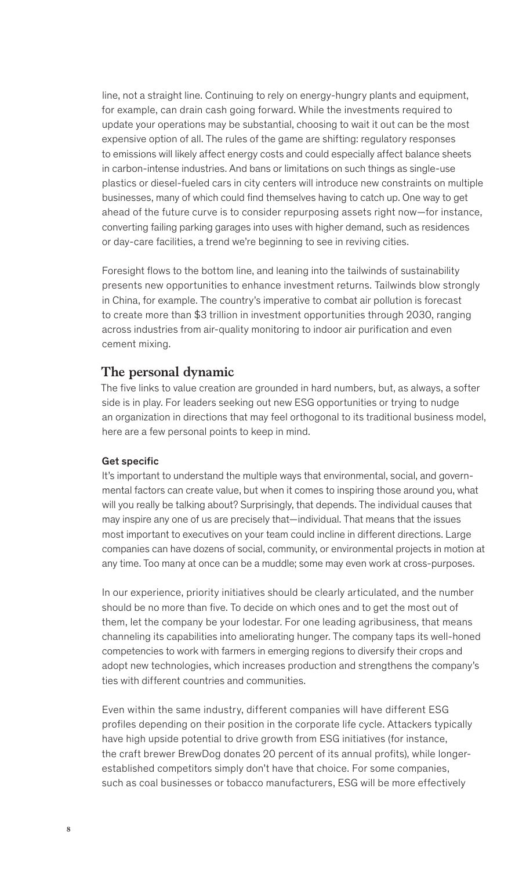line, not a straight line. Continuing to rely on energy-hungry plants and equipment, for example, can drain cash going forward. While the investments required to update your operations may be substantial, choosing to wait it out can be the most expensive option of all. The rules of the game are shifting: regulatory responses to emissions will likely affect energy costs and could especially affect balance sheets in carbon-intense industries. And bans or limitations on such things as single-use plastics or diesel-fueled cars in city centers will introduce new constraints on multiple businesses, many of which could find themselves having to catch up. One way to get ahead of the future curve is to consider repurposing assets right now—for instance, converting failing parking garages into uses with higher demand, such as residences or day-care facilities, a trend we're beginning to see in reviving cities.

Foresight flows to the bottom line, and leaning into the tailwinds of sustainability presents new opportunities to enhance investment returns. Tailwinds blow strongly in China, for example. The country's imperative to combat air pollution is forecast to create more than \$3 trillion in investment opportunities through 2030, ranging across industries from air-quality monitoring to indoor air purification and even cement mixing.

## **The personal dynamic**

The five links to value creation are grounded in hard numbers, but, as always, a softer side is in play. For leaders seeking out new ESG opportunities or trying to nudge an organization in directions that may feel orthogonal to its traditional business model, here are a few personal points to keep in mind.

#### Get specific

It's important to understand the multiple ways that environmental, social, and governmental factors can create value, but when it comes to inspiring those around you, what will you really be talking about? Surprisingly, that depends. The individual causes that may inspire any one of us are precisely that—individual. That means that the issues most important to executives on your team could incline in different directions. Large companies can have dozens of social, community, or environmental projects in motion at any time. Too many at once can be a muddle; some may even work at cross-purposes.

In our experience, priority initiatives should be clearly articulated, and the number should be no more than five. To decide on which ones and to get the most out of them, let the company be your lodestar. For one leading agribusiness, that means channeling its capabilities into ameliorating hunger. The company taps its well-honed competencies to work with farmers in emerging regions to diversify their crops and adopt new technologies, which increases production and strengthens the company's ties with different countries and communities.

Even within the same industry, different companies will have different ESG profiles depending on their position in the corporate life cycle. Attackers typically have high upside potential to drive growth from ESG initiatives (for instance, the craft brewer BrewDog donates 20 percent of its annual profits), while longerestablished competitors simply don't have that choice. For some companies, such as coal businesses or tobacco manufacturers, ESG will be more effectively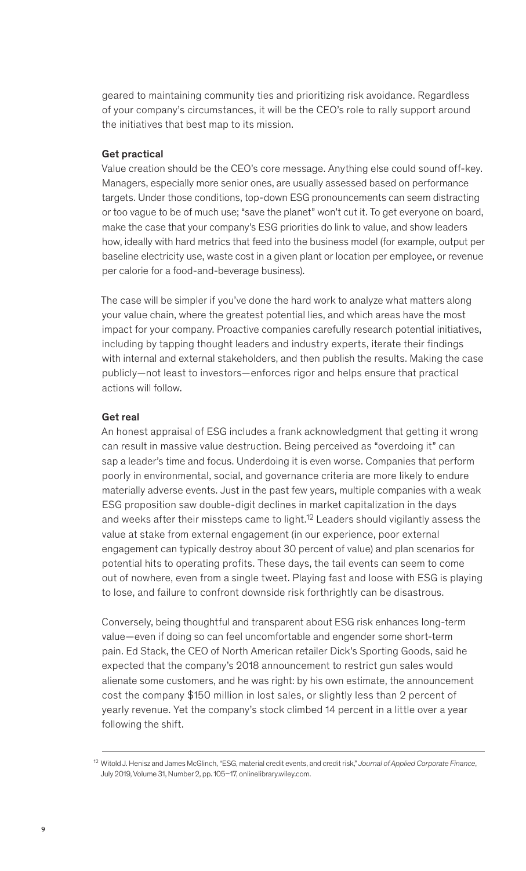geared to maintaining community ties and prioritizing risk avoidance. Regardless of your company's circumstances, it will be the CEO's role to rally support around the initiatives that best map to its mission.

#### Get practical

Value creation should be the CEO's core message. Anything else could sound off-key. Managers, especially more senior ones, are usually assessed based on performance targets. Under those conditions, top-down ESG pronouncements can seem distracting or too vague to be of much use; "save the planet" won't cut it. To get everyone on board, make the case that your company's ESG priorities do link to value, and show leaders how, ideally with hard metrics that feed into the business model (for example, output per baseline electricity use, waste cost in a given plant or location per employee, or revenue per calorie for a food-and-beverage business).

The case will be simpler if you've done the hard work to analyze what matters along your value chain, where the greatest potential lies, and which areas have the most impact for your company. Proactive companies carefully research potential initiatives, including by tapping thought leaders and industry experts, iterate their findings with internal and external stakeholders, and then publish the results. Making the case publicly—not least to investors—enforces rigor and helps ensure that practical actions will follow.

#### Get real

An honest appraisal of ESG includes a frank acknowledgment that getting it wrong can result in massive value destruction. Being perceived as "overdoing it" can sap a leader's time and focus. Underdoing it is even worse. Companies that perform poorly in environmental, social, and governance criteria are more likely to endure materially adverse events. Just in the past few years, multiple companies with a weak ESG proposition saw double-digit declines in market capitalization in the days and weeks after their missteps came to light.<sup>12</sup> Leaders should vigilantly assess the value at stake from external engagement (in our experience, poor external engagement can typically destroy about 30 percent of value) and plan scenarios for potential hits to operating profits. These days, the tail events can seem to come out of nowhere, even from a single tweet. Playing fast and loose with ESG is playing to lose, and failure to confront downside risk forthrightly can be disastrous.

Conversely, being thoughtful and transparent about ESG risk enhances long-term value—even if doing so can feel uncomfortable and engender some short-term pain. Ed Stack, the CEO of North American retailer Dick's Sporting Goods, said he expected that the company's 2018 announcement to restrict gun sales would alienate some customers, and he was right: by his own estimate, the announcement cost the company \$150 million in lost sales, or slightly less than 2 percent of yearly revenue. Yet the company's stock climbed 14 percent in a little over a year following the shift.

<sup>12</sup> Witold J. Henisz and James McGlinch, "ESG, material credit events, and credit risk," *Journal of Applied Corporate Finance*, July 2019, Volume 31, Number 2, pp. 105–17, onlinelibrary.wiley.com.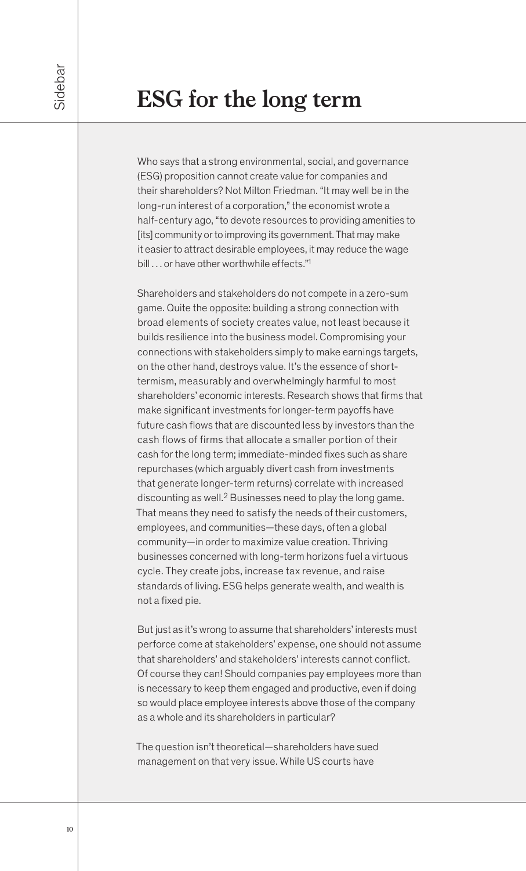Who says that a strong environmental, social, and governance (ESG) proposition cannot create value for companies and their shareholders? Not Milton Friedman. "It may well be in the long-run interest of a corporation," the economist wrote a half-century ago, "to devote resources to providing amenities to [its] community or to improving its government. That may make it easier to attract desirable employees, it may reduce the wage bill ... or have other worthwhile effects."<sup>1</sup>

Shareholders and stakeholders do not compete in a zero-sum game. Quite the opposite: building a strong connection with broad elements of society creates value, not least because it builds resilience into the business model. Compromising your connections with stakeholders simply to make earnings targets, on the other hand, destroys value. It's the essence of shorttermism, measurably and overwhelmingly harmful to most shareholders' economic interests. Research shows that firms that make significant investments for longer-term payoffs have future cash flows that are discounted less by investors than the cash flows of firms that allocate a smaller portion of their cash for the long term; immediate-minded fixes such as share repurchases (which arguably divert cash from investments that generate longer-term returns) correlate with increased discounting as well.2 Businesses need to play the long game. That means they need to satisfy the needs of their customers, employees, and communities—these days, often a global community—in order to maximize value creation. Thriving businesses concerned with long-term horizons fuel a virtuous cycle. They create jobs, increase tax revenue, and raise standards of living. ESG helps generate wealth, and wealth is not a fixed pie.

But just as it's wrong to assume that shareholders' interests must perforce come at stakeholders' expense, one should not assume that shareholders' and stakeholders' interests cannot conflict. Of course they can! Should companies pay employees more than is necessary to keep them engaged and productive, even if doing so would place employee interests above those of the company as a whole and its shareholders in particular?

The question isn't theoretical—shareholders have sued management on that very issue. While US courts have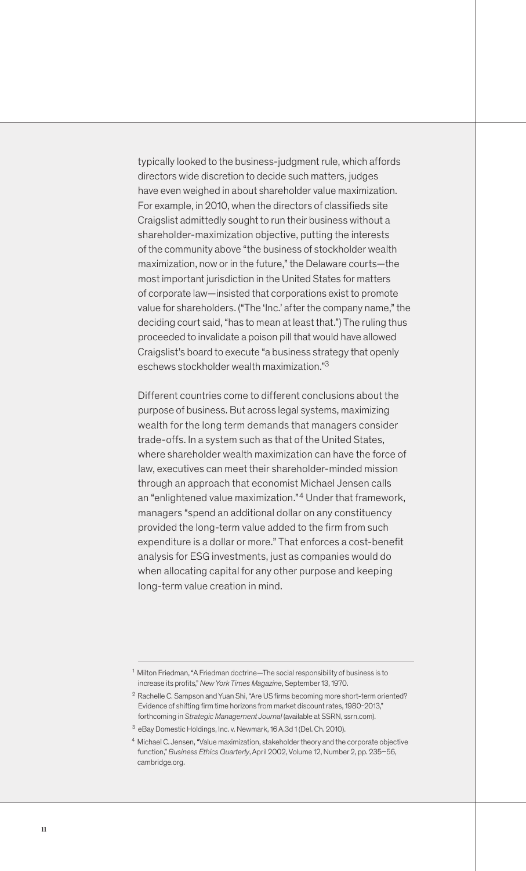typically looked to the business-judgment rule, which affords directors wide discretion to decide such matters, judges have even weighed in about shareholder value maximization. For example, in 2010, when the directors of classifieds site Craigslist admittedly sought to run their business without a shareholder-maximization objective, putting the interests of the community above "the business of stockholder wealth maximization, now or in the future," the Delaware courts—the most important jurisdiction in the United States for matters of corporate law—insisted that corporations exist to promote value for shareholders. ("The 'Inc.' after the company name," the deciding court said, "has to mean at least that.") The ruling thus proceeded to invalidate a poison pill that would have allowed Craigslist's board to execute "a business strategy that openly eschews stockholder wealth maximization."3

Different countries come to different conclusions about the purpose of business. But across legal systems, maximizing wealth for the long term demands that managers consider trade-offs. In a system such as that of the United States, where shareholder wealth maximization can have the force of law, executives can meet their shareholder-minded mission through an approach that economist Michael Jensen calls an "enlightened value maximization."4 Under that framework, managers "spend an additional dollar on any constituency provided the long-term value added to the firm from such expenditure is a dollar or more." That enforces a cost-benefit analysis for ESG investments, just as companies would do when allocating capital for any other purpose and keeping long-term value creation in mind.

<sup>1</sup> Milton Friedman, "A Friedman doctrine—The social responsibility of business is to increase its profits," *New York Times Magazine*, September 13, 1970.

 $2$  Rachelle C. Sampson and Yuan Shi, "Are US firms becoming more short-term oriented? Evidence of shifting firm time horizons from market discount rates, 1980-2013," forthcoming in *Strategic Management Journal* (available at SSRN, ssrn.com).

<sup>3</sup> eBay Domestic Holdings, Inc. v. Newmark, 16 A.3d 1 (Del. Ch. 2010).

<sup>4</sup> Michael C. Jensen, "Value maximization, stakeholder theory and the corporate objective function," *Business Ethics Quarterly*, April 2002, Volume 12, Number 2, pp. 235–56, cambridge.org.